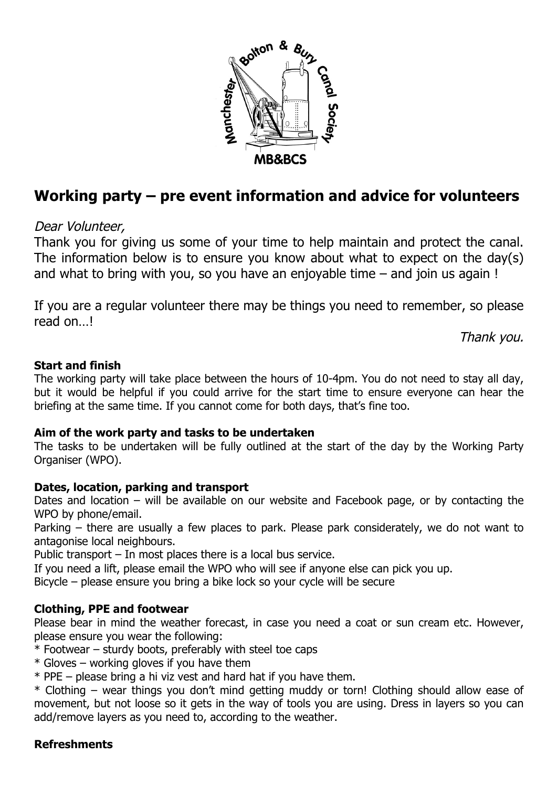

# **Working party – pre event information and advice for volunteers**

# Dear Volunteer,

Thank you for giving us some of your time to help maintain and protect the canal. The information below is to ensure you know about what to expect on the day(s) and what to bring with you, so you have an enjoyable time – and join us again !

If you are a regular volunteer there may be things you need to remember, so please read on…!

Thank you.

## **Start and finish**

The working party will take place between the hours of 10-4pm. You do not need to stay all day, but it would be helpful if you could arrive for the start time to ensure everyone can hear the briefing at the same time. If you cannot come for both days, that's fine too.

## **Aim of the work party and tasks to be undertaken**

The tasks to be undertaken will be fully outlined at the start of the day by the Working Party Organiser (WPO).

## **Dates, location, parking and transport**

Dates and location – will be available on our website and Facebook page, or by contacting the WPO by phone/email.

Parking – there are usually a few places to park. Please park considerately, we do not want to antagonise local neighbours.

Public transport – In most places there is a local bus service.

If you need a lift, please email the WPO who will see if anyone else can pick you up.

Bicycle – please ensure you bring a bike lock so your cycle will be secure

## **Clothing, PPE and footwear**

Please bear in mind the weather forecast, in case you need a coat or sun cream etc. However, please ensure you wear the following:

 $*$  Footwear – sturdy boots, preferably with steel toe caps

 $*$  Gloves – working gloves if you have them

\* PPE – please bring a hi viz vest and hard hat if you have them.

\* Clothing – wear things you don't mind getting muddy or torn! Clothing should allow ease of movement, but not loose so it gets in the way of tools you are using. Dress in layers so you can add/remove layers as you need to, according to the weather.

## **Refreshments**